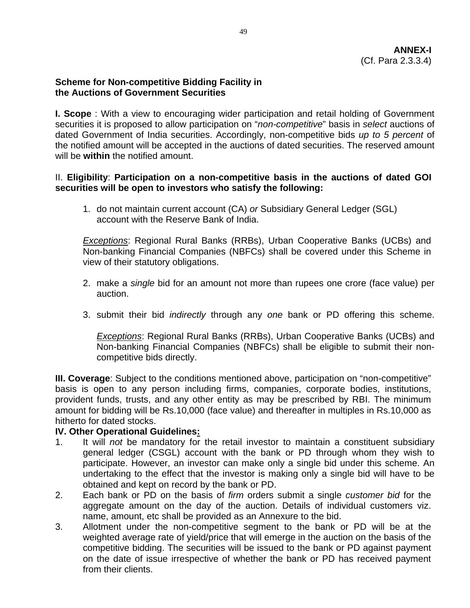## **Scheme for Non-competitive Bidding Facility in the Auctions of Government Securities**

**I. Scope** : With a view to encouraging wider participation and retail holding of Government securities it is proposed to allow participation on "*non-competitive*" basis in *select* auctions of dated Government of India securities. Accordingly, non-competitive bids *up to 5 percent* of the notified amount will be accepted in the auctions of dated securities. The reserved amount will be **within** the notified amount.

## II. **Eligibility**: **Participation on a non-competitive basis in the auctions of dated GOI securities will be open to investors who satisfy the following:**

1. do not maintain current account (CA) *or* Subsidiary General Ledger (SGL) account with the Reserve Bank of India.

*Exceptions*: Regional Rural Banks (RRBs), Urban Cooperative Banks (UCBs) and Non-banking Financial Companies (NBFCs) shall be covered under this Scheme in view of their statutory obligations.

- 2. make a *single* bid for an amount not more than rupees one crore (face value) per auction.
- 3. submit their bid *indirectly* through any *one* bank or PD offering this scheme.

*Exceptions*: Regional Rural Banks (RRBs), Urban Cooperative Banks (UCBs) and Non-banking Financial Companies (NBFCs) shall be eligible to submit their noncompetitive bids directly.

**III. Coverage**: Subject to the conditions mentioned above, participation on "non-competitive" basis is open to any person including firms, companies, corporate bodies, institutions, provident funds, trusts, and any other entity as may be prescribed by RBI. The minimum amount for bidding will be Rs.10,000 (face value) and thereafter in multiples in Rs.10,000 as hitherto for dated stocks.

## **IV. Other Operational Guidelines:**

- 1. It will *not* be mandatory for the retail investor to maintain a constituent subsidiary general ledger (CSGL) account with the bank or PD through whom they wish to participate. However, an investor can make only a single bid under this scheme. An undertaking to the effect that the investor is making only a single bid will have to be obtained and kept on record by the bank or PD.
- 2. Each bank or PD on the basis of *firm* orders submit a single *customer bid* for the aggregate amount on the day of the auction. Details of individual customers viz. name, amount, etc shall be provided as an Annexure to the bid.
- 3. Allotment under the non-competitive segment to the bank or PD will be at the weighted average rate of yield/price that will emerge in the auction on the basis of the competitive bidding. The securities will be issued to the bank or PD against payment on the date of issue irrespective of whether the bank or PD has received payment from their clients.